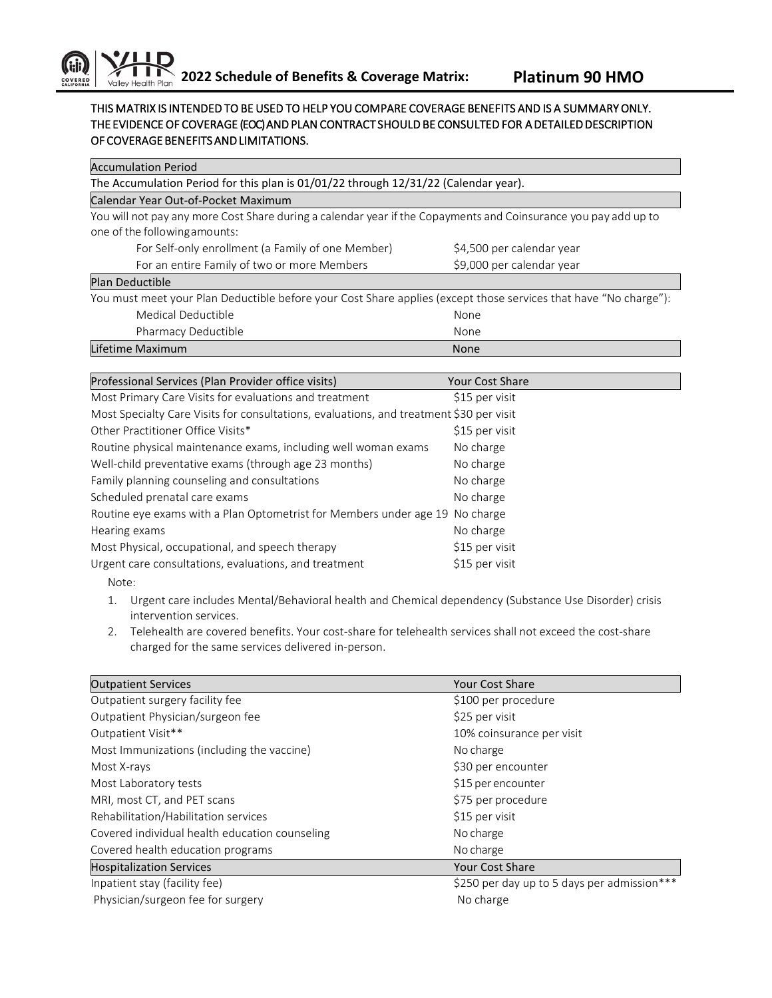## THIS MATRIX IS INTENDED TO BE USED TO HELP YOU COMPARE COVERAGE BENEFITS AND IS A SUMMARY ONLY. THE EVIDENCE OF COVERAGE (EOC) AND PLAN CONTRACT SHOULD BE CONSULTED FOR A DETAILED DESCRIPTION OF COVERAGE BENEFITS AND LIMITATIONS.

| <b>Accumulation Period</b>                                                                                       |                           |  |
|------------------------------------------------------------------------------------------------------------------|---------------------------|--|
| The Accumulation Period for this plan is 01/01/22 through 12/31/22 (Calendar year).                              |                           |  |
| Calendar Year Out-of-Pocket Maximum                                                                              |                           |  |
| You will not pay any more Cost Share during a calendar year if the Copayments and Coinsurance you pay add up to  |                           |  |
| one of the following amounts:                                                                                    |                           |  |
| For Self-only enrollment (a Family of one Member)                                                                | \$4,500 per calendar year |  |
| For an entire Family of two or more Members                                                                      | \$9,000 per calendar year |  |
| Plan Deductible                                                                                                  |                           |  |
| You must meet your Plan Deductible before your Cost Share applies (except those services that have "No charge"): |                           |  |
| Medical Deductible                                                                                               | None                      |  |
| Pharmacy Deductible                                                                                              | None                      |  |
| Lifetime Maximum                                                                                                 | <b>None</b>               |  |
|                                                                                                                  |                           |  |
| Professional Services (Plan Provider office visits)                                                              | <b>Your Cost Share</b>    |  |
| Most Primary Care Visits for evaluations and treatment                                                           | \$15 per visit            |  |
| Most Specialty Care Visits for consultations, evaluations, and treatment \$30 per visit                          |                           |  |

| Other Practitioner Office Visits*                                            | \$15 per visit |
|------------------------------------------------------------------------------|----------------|
| Routine physical maintenance exams, including well woman exams               | No charge      |
| Well-child preventative exams (through age 23 months)                        | No charge      |
| Family planning counseling and consultations                                 | No charge      |
| Scheduled prenatal care exams                                                | No charge      |
| Routine eye exams with a Plan Optometrist for Members under age 19 No charge |                |
| Hearing exams                                                                | No charge      |
| Most Physical, occupational, and speech therapy                              | \$15 per visit |
| Urgent care consultations, evaluations, and treatment                        | \$15 per visit |
| Note:                                                                        |                |

- 1. Urgent care includes Mental/Behavioral health and Chemical dependency (Substance Use Disorder) crisis intervention services.
- 2. Telehealth are covered benefits. Your cost-share for telehealth services shall not exceed the cost-share charged for the same services delivered in-person.

| <b>Outpatient Services</b>                     | <b>Your Cost Share</b>                      |
|------------------------------------------------|---------------------------------------------|
| Outpatient surgery facility fee                | \$100 per procedure                         |
| Outpatient Physician/surgeon fee               | \$25 per visit                              |
| Outpatient Visit**                             | 10% coinsurance per visit                   |
| Most Immunizations (including the vaccine)     | No charge                                   |
| Most X-rays                                    | \$30 per encounter                          |
| Most Laboratory tests                          | \$15 per encounter                          |
| MRI, most CT, and PET scans                    | \$75 per procedure                          |
| Rehabilitation/Habilitation services           | \$15 per visit                              |
| Covered individual health education counseling | No charge                                   |
| Covered health education programs              | No charge                                   |
| <b>Hospitalization Services</b>                | <b>Your Cost Share</b>                      |
| Inpatient stay (facility fee)                  | \$250 per day up to 5 days per admission*** |
| Physician/surgeon fee for surgery              | No charge                                   |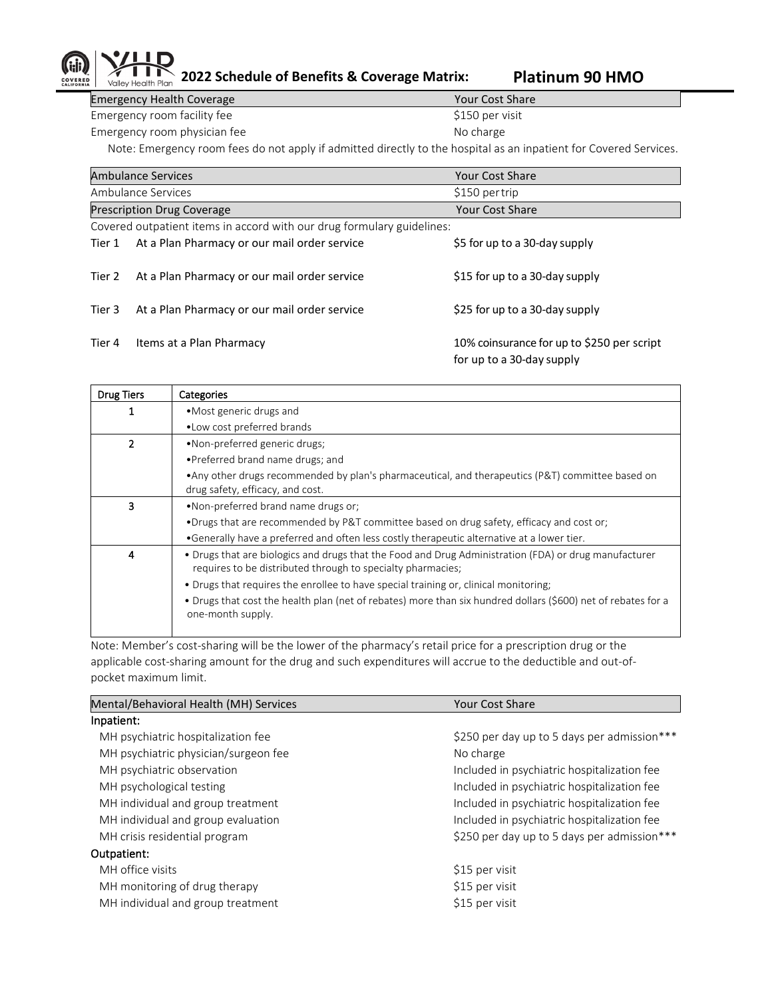## Valley Health Plan

**2022 Schedule of Benefits & Coverage Matrix: Platinum 90 HMO**

Emergency Health Coverage Your Cost Share Emergency room facility fee  $$150$  per visit Emergency room physician fee No charge No charge

Note: Emergency room fees do not apply if admitted directly to the hospital as an inpatient for Covered Services.

|                                                                        | <b>Ambulance Services</b>                                   | <b>Your Cost Share</b>                                                  |
|------------------------------------------------------------------------|-------------------------------------------------------------|-------------------------------------------------------------------------|
|                                                                        | Ambulance Services                                          | \$150 per trip                                                          |
|                                                                        | <b>Prescription Drug Coverage</b><br><b>Your Cost Share</b> |                                                                         |
| Covered outpatient items in accord with our drug formulary guidelines: |                                                             |                                                                         |
| Tier 1                                                                 | At a Plan Pharmacy or our mail order service                | \$5 for up to a 30-day supply                                           |
| Tier 2                                                                 | At a Plan Pharmacy or our mail order service                | \$15 for up to a 30-day supply                                          |
| Tier 3                                                                 | At a Plan Pharmacy or our mail order service                | \$25 for up to a 30-day supply                                          |
| Tier 4                                                                 | Items at a Plan Pharmacy                                    | 10% coinsurance for up to \$250 per script<br>for up to a 30-day supply |

| <b>Drug Tiers</b> | Categories                                                                                                                                                           |
|-------------------|----------------------------------------------------------------------------------------------------------------------------------------------------------------------|
|                   | • Most generic drugs and                                                                                                                                             |
|                   | • Low cost preferred brands                                                                                                                                          |
| 2                 | •Non-preferred generic drugs;                                                                                                                                        |
|                   | • Preferred brand name drugs; and                                                                                                                                    |
|                   | • Any other drugs recommended by plan's pharmaceutical, and therapeutics (P&T) committee based on                                                                    |
|                   | drug safety, efficacy, and cost.                                                                                                                                     |
| 3                 | . Non-preferred brand name drugs or:                                                                                                                                 |
|                   | •Drugs that are recommended by P&T committee based on drug safety, efficacy and cost or;                                                                             |
|                   | •Generally have a preferred and often less costly therapeutic alternative at a lower tier.                                                                           |
| 4                 | • Drugs that are biologics and drugs that the Food and Drug Administration (FDA) or drug manufacturer<br>requires to be distributed through to specialty pharmacies; |
|                   | • Drugs that requires the enrollee to have special training or, clinical monitoring;                                                                                 |
|                   | • Drugs that cost the health plan (net of rebates) more than six hundred dollars (\$600) net of rebates for a<br>one-month supply.                                   |
|                   |                                                                                                                                                                      |

Note: Member's cost-sharing will be the lower of the pharmacy's retail price for a prescription drug or the applicable cost-sharing amount for the drug and such expenditures will accrue to the deductible and out-ofpocket maximum limit.

| Mental/Behavioral Health (MH) Services | <b>Your Cost Share</b>                      |
|----------------------------------------|---------------------------------------------|
| Inpatient:                             |                                             |
| MH psychiatric hospitalization fee     | \$250 per day up to 5 days per admission*** |
| MH psychiatric physician/surgeon fee   | No charge                                   |
| MH psychiatric observation             | Included in psychiatric hospitalization fee |
| MH psychological testing               | Included in psychiatric hospitalization fee |
| MH individual and group treatment      | Included in psychiatric hospitalization fee |
| MH individual and group evaluation     | Included in psychiatric hospitalization fee |
| MH crisis residential program          | \$250 per day up to 5 days per admission*** |
| Outpatient:                            |                                             |
| MH office visits                       | \$15 per visit                              |
| MH monitoring of drug therapy          | \$15 per visit                              |
| MH individual and group treatment      | \$15 per visit                              |
|                                        |                                             |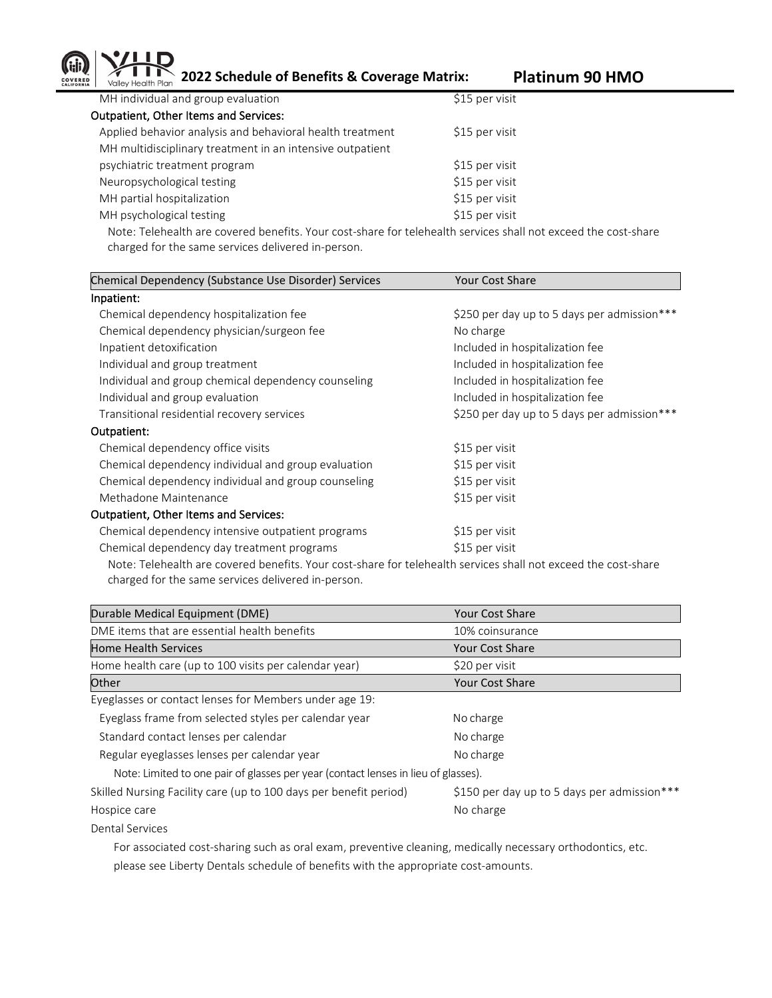**2022 Schedule of Benefits & Coverage Matrix: Platinum 90 HMO**

| MH individual and group evaluation                        | \$15 per visit |
|-----------------------------------------------------------|----------------|
| Outpatient, Other Items and Services:                     |                |
| Applied behavior analysis and behavioral health treatment | \$15 per visit |
| MH multidisciplinary treatment in an intensive outpatient |                |
| psychiatric treatment program                             | \$15 per visit |
| Neuropsychological testing                                | \$15 per visit |
| MH partial hospitalization                                | \$15 per visit |
| MH psychological testing                                  | \$15 per visit |
|                                                           |                |

Note: Telehealth are covered benefits. Your cost-share for telehealth services shall not exceed the cost-share charged for the same services delivered in-person.

| Chemical Dependency (Substance Use Disorder) Services                                                                                                                                                                       | <b>Your Cost Share</b>                      |
|-----------------------------------------------------------------------------------------------------------------------------------------------------------------------------------------------------------------------------|---------------------------------------------|
| Inpatient:                                                                                                                                                                                                                  |                                             |
| Chemical dependency hospitalization fee                                                                                                                                                                                     | \$250 per day up to 5 days per admission*** |
| Chemical dependency physician/surgeon fee                                                                                                                                                                                   | No charge                                   |
| Inpatient detoxification                                                                                                                                                                                                    | Included in hospitalization fee             |
| Individual and group treatment                                                                                                                                                                                              | Included in hospitalization fee             |
| Individual and group chemical dependency counseling                                                                                                                                                                         | Included in hospitalization fee             |
| Individual and group evaluation                                                                                                                                                                                             | Included in hospitalization fee             |
| Transitional residential recovery services                                                                                                                                                                                  | \$250 per day up to 5 days per admission*** |
| Outpatient:                                                                                                                                                                                                                 |                                             |
| Chemical dependency office visits                                                                                                                                                                                           | \$15 per visit                              |
| Chemical dependency individual and group evaluation                                                                                                                                                                         | \$15 per visit                              |
| Chemical dependency individual and group counseling                                                                                                                                                                         | \$15 per visit                              |
| Methadone Maintenance                                                                                                                                                                                                       | \$15 per visit                              |
| <b>Outpatient, Other Items and Services:</b>                                                                                                                                                                                |                                             |
| Chemical dependency intensive outpatient programs                                                                                                                                                                           | \$15 per visit                              |
| Chemical dependency day treatment programs                                                                                                                                                                                  | \$15 per visit                              |
| Michael 元 ale based the concerted beautiful Michaele and Later formation although the ale of the and ale the control and ale of the state of the second beautiful and the second beautiful and the second beautiful and the |                                             |

Note: Telehealth are covered benefits. Your cost-share for telehealth services shall not exceed the cost-share charged for the same services delivered in-person.

| Durable Medical Equipment (DME)                                                    | Your Cost Share                             |
|------------------------------------------------------------------------------------|---------------------------------------------|
| DME items that are essential health benefits                                       | 10% coinsurance                             |
| <b>Home Health Services</b>                                                        | <b>Your Cost Share</b>                      |
| Home health care (up to 100 visits per calendar year)                              | \$20 per visit                              |
| Other                                                                              | <b>Your Cost Share</b>                      |
| Eyeglasses or contact lenses for Members under age 19:                             |                                             |
| Eyeglass frame from selected styles per calendar year                              | No charge                                   |
| Standard contact lenses per calendar                                               | No charge                                   |
| Regular eyeglasses lenses per calendar year                                        | No charge                                   |
| Note: Limited to one pair of glasses per year (contact lenses in lieu of glasses). |                                             |
| Skilled Nursing Facility care (up to 100 days per benefit period)                  | \$150 per day up to 5 days per admission*** |
| Hospice care                                                                       | No charge                                   |
| Dental Services                                                                    |                                             |

 For associated cost-sharing such as oral exam, preventive cleaning, medically necessary orthodontics, etc. please see Liberty Dentals schedule of benefits with the appropriate cost-amounts.